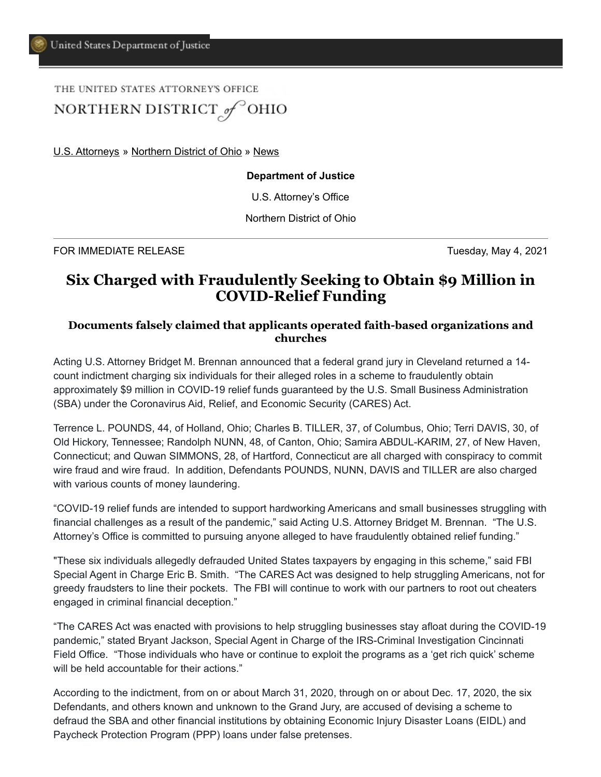# THE UNITED STATES ATTORNEY'S OFFICE NORTHERN DISTRICT<sub>@</sub>P<sup>OHIO</sup>

[U.S. Attorneys](https://www.justice.gov/usao) » [Northern District of Ohio](https://www.justice.gov/usao-ndoh) » [News](https://www.justice.gov/usao-ndoh/pr)

#### **Department of Justice**

U.S. Attorney's Office

Northern District of Ohio

FOR IMMEDIATE RELEASE Tuesday, May 4, 2021

## **Six Charged with Fraudulently Seeking to Obtain \$9 Million in COVID-Relief Funding**

### **Documents falsely claimed that applicants operated faith-based organizations and churches**

Acting U.S. Attorney Bridget M. Brennan announced that a federal grand jury in Cleveland returned a 14 count indictment charging six individuals for their alleged roles in a scheme to fraudulently obtain approximately \$9 million in COVID-19 relief funds guaranteed by the U.S. Small Business Administration (SBA) under the Coronavirus Aid, Relief, and Economic Security (CARES) Act.

Terrence L. POUNDS, 44, of Holland, Ohio; Charles B. TILLER, 37, of Columbus, Ohio; Terri DAVIS, 30, of Old Hickory, Tennessee; Randolph NUNN, 48, of Canton, Ohio; Samira ABDUL-KARIM, 27, of New Haven, Connecticut; and Quwan SIMMONS, 28, of Hartford, Connecticut are all charged with conspiracy to commit wire fraud and wire fraud. In addition, Defendants POUNDS, NUNN, DAVIS and TILLER are also charged with various counts of money laundering.

"COVID-19 relief funds are intended to support hardworking Americans and small businesses struggling with financial challenges as a result of the pandemic," said Acting U.S. Attorney Bridget M. Brennan. "The U.S. Attorney's Office is committed to pursuing anyone alleged to have fraudulently obtained relief funding."

"These six individuals allegedly defrauded United States taxpayers by engaging in this scheme," said FBI Special Agent in Charge Eric B. Smith. "The CARES Act was designed to help struggling Americans, not for greedy fraudsters to line their pockets. The FBI will continue to work with our partners to root out cheaters engaged in criminal financial deception."

"The CARES Act was enacted with provisions to help struggling businesses stay afloat during the COVID-19 pandemic," stated Bryant Jackson, Special Agent in Charge of the IRS-Criminal Investigation Cincinnati Field Office. "Those individuals who have or continue to exploit the programs as a 'get rich quick' scheme will be held accountable for their actions."

According to the indictment, from on or about March 31, 2020, through on or about Dec. 17, 2020, the six Defendants, and others known and unknown to the Grand Jury, are accused of devising a scheme to defraud the SBA and other financial institutions by obtaining Economic Injury Disaster Loans (EIDL) and Paycheck Protection Program (PPP) loans under false pretenses.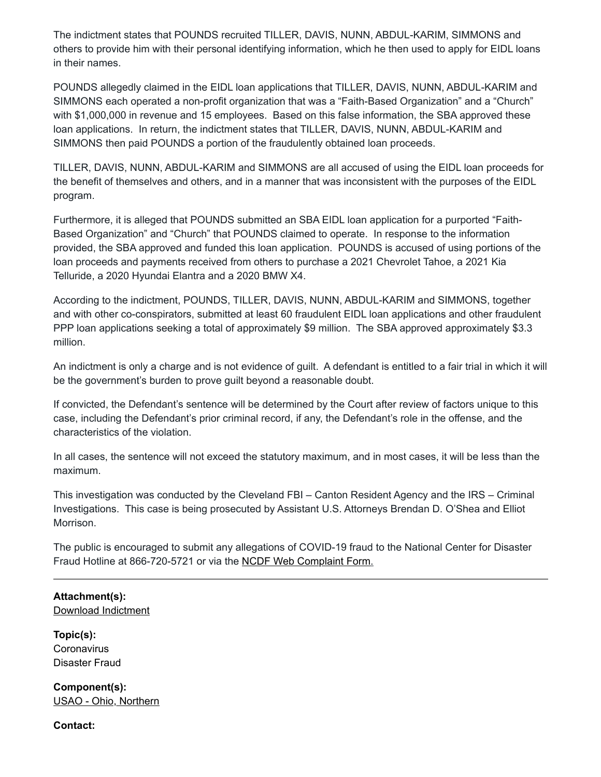The indictment states that POUNDS recruited TILLER, DAVIS, NUNN, ABDUL-KARIM, SIMMONS and others to provide him with their personal identifying information, which he then used to apply for EIDL loans in their names.

POUNDS allegedly claimed in the EIDL loan applications that TILLER, DAVIS, NUNN, ABDUL-KARIM and SIMMONS each operated a non-profit organization that was a "Faith-Based Organization" and a "Church" with \$1,000,000 in revenue and 15 employees. Based on this false information, the SBA approved these loan applications. In return, the indictment states that TILLER, DAVIS, NUNN, ABDUL-KARIM and SIMMONS then paid POUNDS a portion of the fraudulently obtained loan proceeds.

TILLER, DAVIS, NUNN, ABDUL-KARIM and SIMMONS are all accused of using the EIDL loan proceeds for the benefit of themselves and others, and in a manner that was inconsistent with the purposes of the EIDL program.

Furthermore, it is alleged that POUNDS submitted an SBA EIDL loan application for a purported "Faith-Based Organization" and "Church" that POUNDS claimed to operate. In response to the information provided, the SBA approved and funded this loan application. POUNDS is accused of using portions of the loan proceeds and payments received from others to purchase a 2021 Chevrolet Tahoe, a 2021 Kia Telluride, a 2020 Hyundai Elantra and a 2020 BMW X4.

According to the indictment, POUNDS, TILLER, DAVIS, NUNN, ABDUL-KARIM and SIMMONS, together and with other co-conspirators, submitted at least 60 fraudulent EIDL loan applications and other fraudulent PPP loan applications seeking a total of approximately \$9 million. The SBA approved approximately \$3.3 million.

An indictment is only a charge and is not evidence of guilt. A defendant is entitled to a fair trial in which it will be the government's burden to prove guilt beyond a reasonable doubt.

If convicted, the Defendant's sentence will be determined by the Court after review of factors unique to this case, including the Defendant's prior criminal record, if any, the Defendant's role in the offense, and the characteristics of the violation.

In all cases, the sentence will not exceed the statutory maximum, and in most cases, it will be less than the maximum.

This investigation was conducted by the Cleveland FBI – Canton Resident Agency and the IRS – Criminal Investigations. This case is being prosecuted by Assistant U.S. Attorneys Brendan D. O'Shea and Elliot Morrison.

The public is encouraged to submit any allegations of COVID-19 fraud to the National Center for Disaster Fraud Hotline at 866-720-5721 or via the [NCDF Web Complaint Form.](https://www.justice.gov/disaster-fraud/ncdf-disaster-complaint-form)

### **Attachment(s):**  [Download Indictment](https://www.justice.gov/usao-ndoh/press-release/file/1391546/download)

**Topic(s): Coronavirus** Disaster Fraud

**Component(s):**  [USAO - Ohio, Northern](http://www.justice.gov/usao-ndoh)

**Contact:**